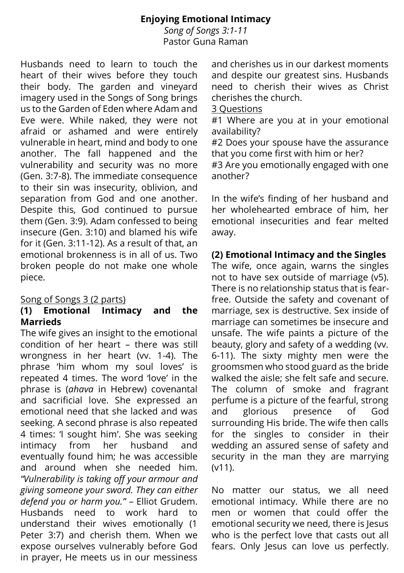# **Enjoying Emotional Intimacy**

*Song of Songs 3:1-11* Pastor Guna Raman

Husbands need to learn to touch the heart of their wives before they touch their body. The garden and vineyard imagery used in the Songs of Song brings us to the Garden of Eden where Adam and Eve were. While naked, they were not afraid or ashamed and were entirely vulnerable in heart, mind and body to one another. The fall happened and the vulnerability and security was no more (Gen. 3:7-8). The immediate consequence to their sin was insecurity, oblivion, and separation from God and one another. Despite this, God continued to pursue them (Gen. 3:9). Adam confessed to being insecure (Gen. 3:10) and blamed his wife for it (Gen. 3:11-12). As a result of that, an emotional brokenness is in all of us. Two broken people do not make one whole piece.

### Song of Songs 3 (2 parts)

#### **(1) Emotional Intimacy and the Marrieds**

The wife gives an insight to the emotional condition of her heart – there was still wrongness in her heart (vv. 1-4). The phrase 'him whom my soul loves' is repeated 4 times. The word 'love' in the phrase is (*ahava* in Hebrew) covenantal and sacrificial love. She expressed an emotional need that she lacked and was seeking. A second phrase is also repeated 4 times: 'I sought him'. She was seeking intimacy from her husband and eventually found him; he was accessible and around when she needed him. *"Vulnerability is taking off your armour and giving someone your sword. They can either defend you or harm you."* – Elliot Grudem. Husbands need to work hard to understand their wives emotionally (1 Peter 3:7) and cherish them. When we expose ourselves vulnerably before God in prayer, He meets us in our messiness

and cherishes us in our darkest moments and despite our greatest sins. Husbands need to cherish their wives as Christ cherishes the church.

#### 3 Questions

#1 Where are you at in your emotional availability?

#2 Does your spouse have the assurance that you come first with him or her?

#3 Are you emotionally engaged with one another?

In the wife's finding of her husband and her wholehearted embrace of him, her emotional insecurities and fear melted away.

## **(2) Emotional Intimacy and the Singles**

The wife, once again, warns the singles not to have sex outside of marriage (v5). There is no relationship status that is fearfree. Outside the safety and covenant of marriage, sex is destructive. Sex inside of marriage can sometimes be insecure and unsafe. The wife paints a picture of the beauty, glory and safety of a wedding (vv. 6-11). The sixty mighty men were the groomsmen who stood guard as the bride walked the aisle; she felt safe and secure. The column of smoke and fragrant perfume is a picture of the fearful, strong and glorious presence of God surrounding His bride. The wife then calls for the singles to consider in their wedding an assured sense of safety and security in the man they are marrying (v11).

No matter our status, we all need emotional intimacy. While there are no men or women that could offer the emotional security we need, there is Jesus who is the perfect love that casts out all fears. Only lesus can love us perfectly.